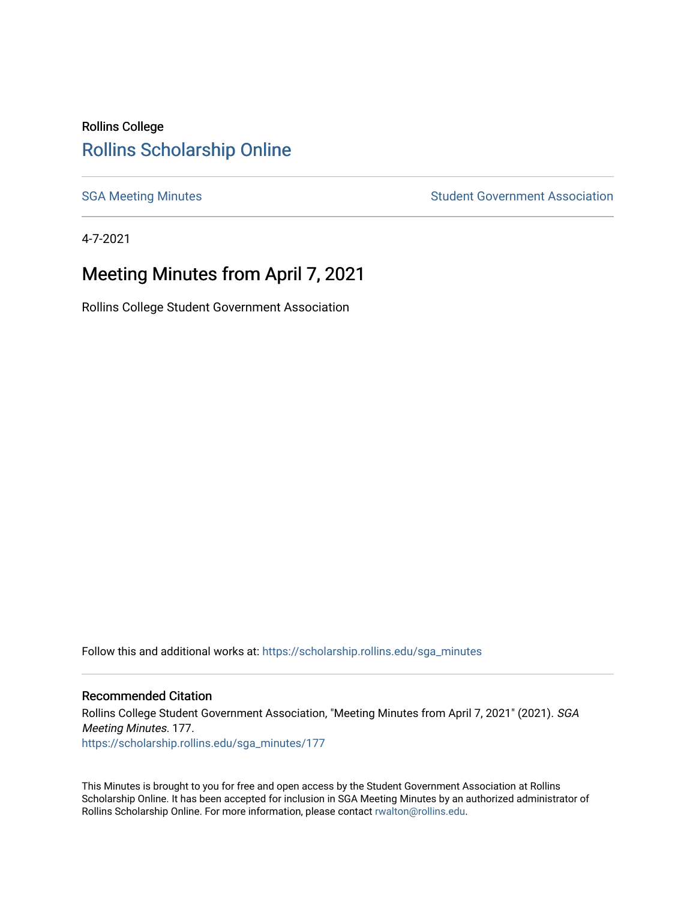### Rollins College [Rollins Scholarship Online](https://scholarship.rollins.edu/)

[SGA Meeting Minutes](https://scholarship.rollins.edu/sga_minutes) **SGA Meeting Minutes** SGA Meeting Minutes **STEER** Student Government Association

4-7-2021

## Meeting Minutes from April 7, 2021

Rollins College Student Government Association

Follow this and additional works at: [https://scholarship.rollins.edu/sga\\_minutes](https://scholarship.rollins.edu/sga_minutes?utm_source=scholarship.rollins.edu%2Fsga_minutes%2F177&utm_medium=PDF&utm_campaign=PDFCoverPages)

#### Recommended Citation

Rollins College Student Government Association, "Meeting Minutes from April 7, 2021" (2021). SGA Meeting Minutes. 177. [https://scholarship.rollins.edu/sga\\_minutes/177](https://scholarship.rollins.edu/sga_minutes/177?utm_source=scholarship.rollins.edu%2Fsga_minutes%2F177&utm_medium=PDF&utm_campaign=PDFCoverPages)

This Minutes is brought to you for free and open access by the Student Government Association at Rollins Scholarship Online. It has been accepted for inclusion in SGA Meeting Minutes by an authorized administrator of Rollins Scholarship Online. For more information, please contact [rwalton@rollins.edu](mailto:rwalton@rollins.edu).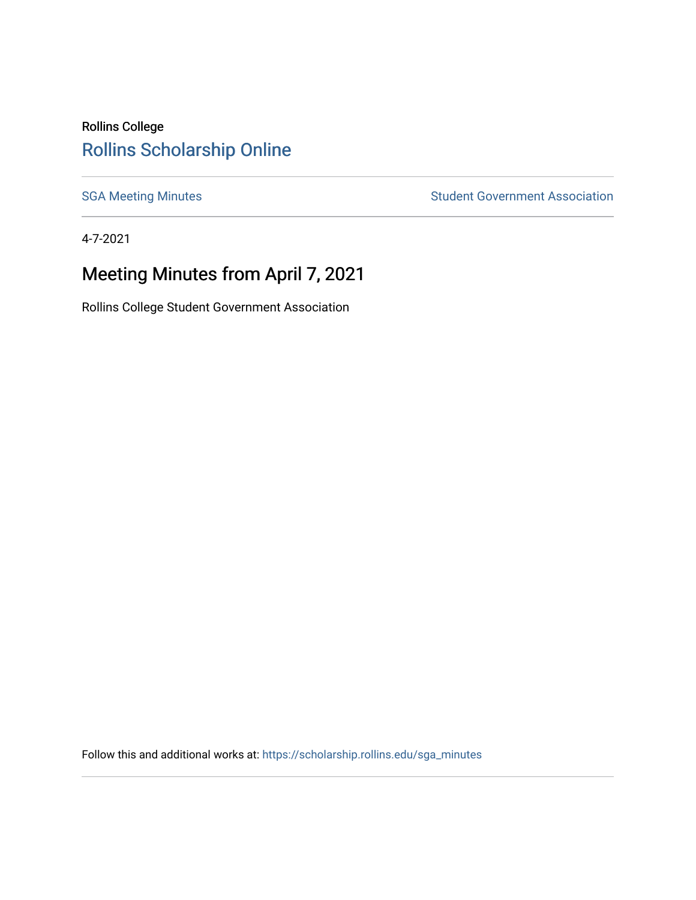## Rollins College [Rollins Scholarship Online](https://scholarship.rollins.edu/)

[SGA Meeting Minutes](https://scholarship.rollins.edu/sga_minutes) **SGA Meeting Minutes** SGA Meeting Minutes **STEER** Student Government Association

4-7-2021

# Meeting Minutes from April 7, 2021

Rollins College Student Government Association

Follow this and additional works at: [https://scholarship.rollins.edu/sga\\_minutes](https://scholarship.rollins.edu/sga_minutes?utm_source=scholarship.rollins.edu%2Fsga_minutes%2F1&utm_medium=PDF&utm_campaign=PDFCoverPages)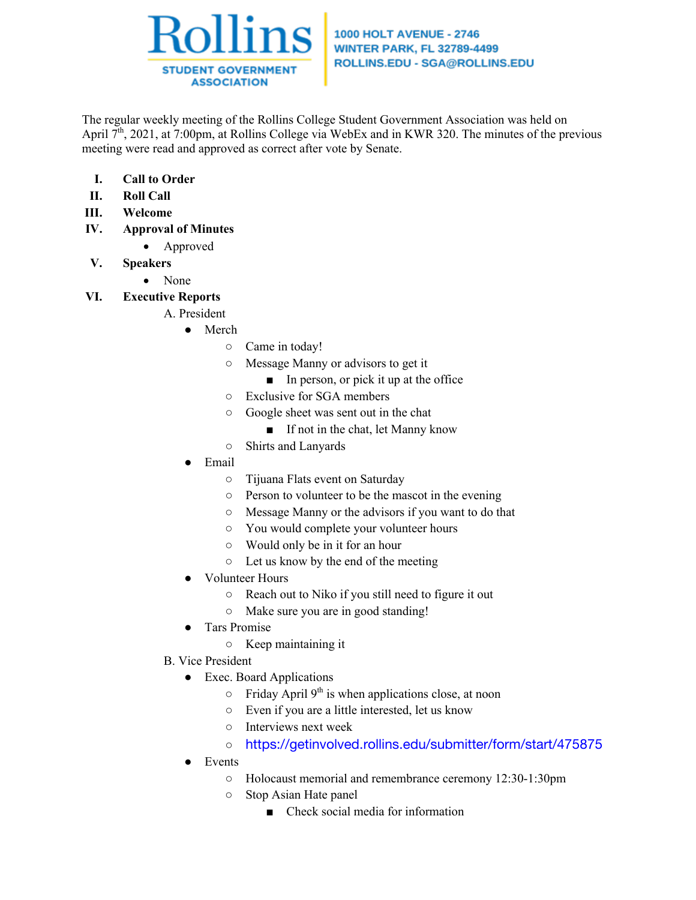

#### **1000 HOLT AVENUE - 2746 WINTER PARK, FL 32789-4499** ROLLINS.EDU - SGA@ROLLINS.EDU

The regular weekly meeting of the Rollins College Student Government Association was held on April 7<sup>th</sup>, 2021, at 7:00pm, at Rollins College via WebEx and in KWR 320. The minutes of the previous meeting were read and approved as correct after vote by Senate.

- **I. Call to Order**
- **II. Roll Call**
- **III. Welcome**
- **IV. Approval of Minutes**
	- Approved
- **V. Speakers**
	- None
- **VI. Executive Reports**
	- A. President
		- Merch
			- Came in today!
			- Message Manny or advisors to get it
				- In person, or pick it up at the office
			- Exclusive for SGA members
			- Google sheet was sent out in the chat
				- If not in the chat, let Manny know
			- Shirts and Lanyards
		- **Email** 
			- Tijuana Flats event on Saturday
			- Person to volunteer to be the mascot in the evening
			- Message Manny or the advisors if you want to do that
			- You would complete your volunteer hours
			- Would only be in it for an hour
			- Let us know by the end of the meeting
		- Volunteer Hours
			- Reach out to Niko if you still need to figure it out
			- Make sure you are in good standing!
		- Tars Promise
			- Keep maintaining it
	- B. Vice President
		- Exec. Board Applications
			- $\circ$  Friday April 9<sup>th</sup> is when applications close, at noon
			- Even if you are a little interested, let us know
			- Interviews next week
			- https://getinvolved.rollins.edu/submitter/form/start/475875
		- Events
			- Holocaust memorial and remembrance ceremony 12:30-1:30pm
			- Stop Asian Hate panel
				- Check social media for information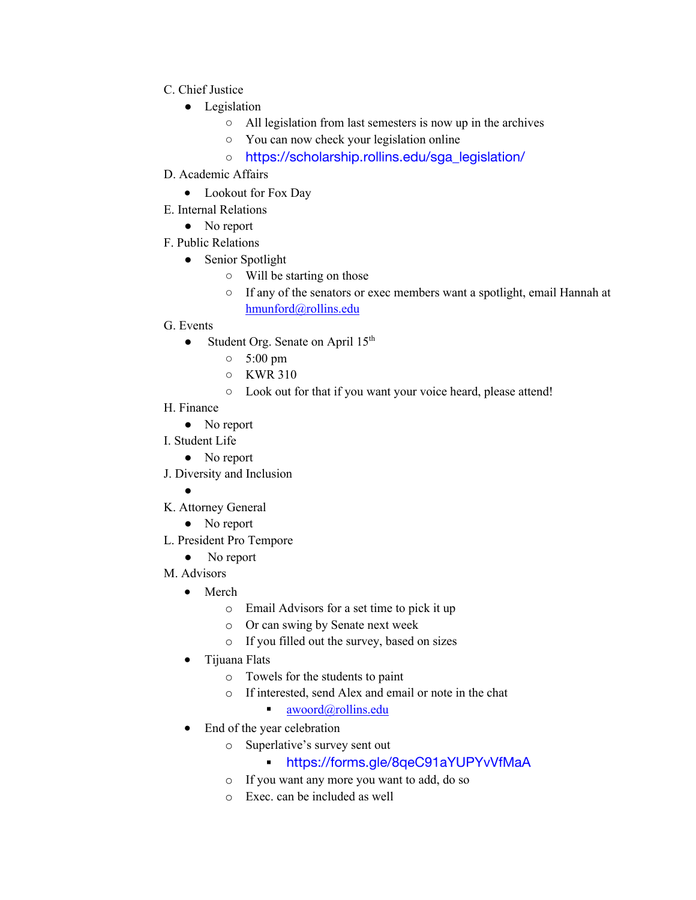- C. Chief Justice
	- Legislation
		- All legislation from last semesters is now up in the archives
		- You can now check your legislation online
		- https://scholarship.rollins.edu/sga\_legislation/
- D. Academic Affairs
	- Lookout for Fox Day
- E. Internal Relations
	- No report
- F. Public Relations
	- Senior Spotlight
		- Will be starting on those
		- If any of the senators or exec members want a spotlight, email Hannah at hmunford@rollins.edu
- G. Events
	- Student Org. Senate on April  $15<sup>th</sup>$ 
		- 5:00 pm
		- KWR 310
		- Look out for that if you want your voice heard, please attend!
- H. Finance
	- No report
- I. Student Life
	- No report
- J. Diversity and Inclusion
	- ●
- K. Attorney General
	- No report
- L. President Pro Tempore
	- No report
- M. Advisors
	- Merch
		- o Email Advisors for a set time to pick it up
		- o Or can swing by Senate next week
		- o If you filled out the survey, based on sizes
	- Tijuana Flats
		- o Towels for the students to paint
		- o If interested, send Alex and email or note in the chat

### $\blacksquare$  awoord@rollins.edu

- End of the year celebration
	- o Superlative's survey sent out
		- § https://forms.gle/8qeC91aYUPYvVfMaA
	- o If you want any more you want to add, do so
	- o Exec. can be included as well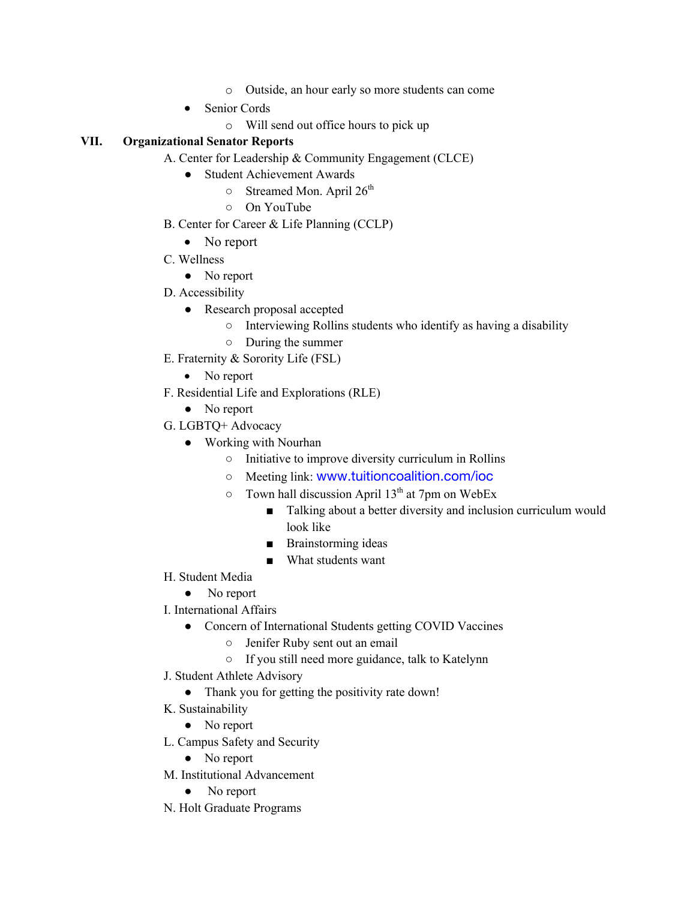- o Outside, an hour early so more students can come
- Senior Cords
	- o Will send out office hours to pick up

#### **VII. Organizational Senator Reports**

- A. Center for Leadership & Community Engagement (CLCE)
	- Student Achievement Awards
		- $\circ$  Streamed Mon. April 26<sup>th</sup>
		- On YouTube
- B. Center for Career & Life Planning (CCLP)
	- No report
- C. Wellness
	- No report
- D. Accessibility
	- Research proposal accepted
		- Interviewing Rollins students who identify as having a disability
		- During the summer
- E. Fraternity & Sorority Life (FSL)
	- No report
- F. Residential Life and Explorations (RLE)
	- No report
- G. LGBTQ+ Advocacy
	- Working with Nourhan
		- Initiative to improve diversity curriculum in Rollins
		- Meeting link: www.tuitioncoalition.com/ioc
		- $\circ$  Town hall discussion April 13<sup>th</sup> at 7pm on WebEx
			- Talking about a better diversity and inclusion curriculum would look like
			- Brainstorming ideas
			- What students want
- H. Student Media
	- No report
- I. International Affairs
	- Concern of International Students getting COVID Vaccines
		- Jenifer Ruby sent out an email
		- If you still need more guidance, talk to Katelynn
- J. Student Athlete Advisory
	- Thank you for getting the positivity rate down!
- K. Sustainability
	- No report
- L. Campus Safety and Security
	- No report
- M. Institutional Advancement
	- No report
- N. Holt Graduate Programs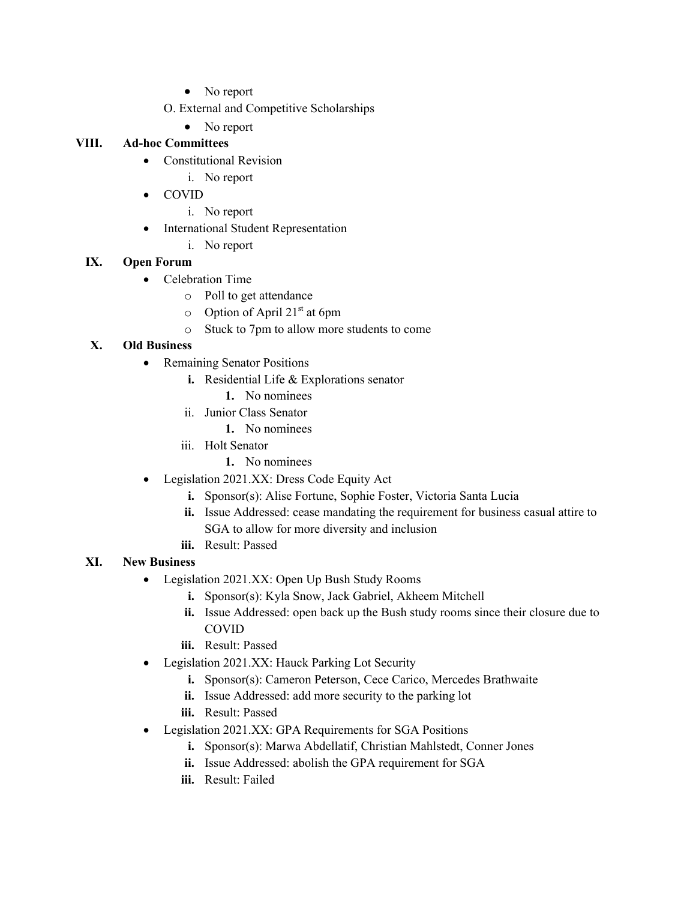- No report
- O. External and Competitive Scholarships
- No report

### **VIII. Ad-hoc Committees**

- Constitutional Revision
	- i. No report
- COVID
	- i. No report
- International Student Representation
	- i. No report

### **IX. Open Forum**

- Celebration Time
	- o Poll to get attendance
	- $\circ$  Option of April 21<sup>st</sup> at 6pm
	- o Stuck to 7pm to allow more students to come

### **X. Old Business**

- Remaining Senator Positions
	- **i.** Residential Life & Explorations senator
		- **1.** No nominees
	- ii. Junior Class Senator
		- **1.** No nominees
	- iii. Holt Senator
		- **1.** No nominees
- Legislation 2021.XX: Dress Code Equity Act
	- **i.** Sponsor(s): Alise Fortune, Sophie Foster, Victoria Santa Lucia
	- **ii.** Issue Addressed: cease mandating the requirement for business casual attire to SGA to allow for more diversity and inclusion
	- **iii.** Result: Passed

### **XI. New Business**

- Legislation 2021.XX: Open Up Bush Study Rooms
	- **i.** Sponsor(s): Kyla Snow, Jack Gabriel, Akheem Mitchell
	- **ii.** Issue Addressed: open back up the Bush study rooms since their closure due to COVID
	- **iii.** Result: Passed
- Legislation 2021.XX: Hauck Parking Lot Security
	- **i.** Sponsor(s): Cameron Peterson, Cece Carico, Mercedes Brathwaite
	- **ii.** Issue Addressed: add more security to the parking lot
	- **iii.** Result: Passed
- Legislation 2021.XX: GPA Requirements for SGA Positions
	- **i.** Sponsor(s): Marwa Abdellatif, Christian Mahlstedt, Conner Jones
	- **ii.** Issue Addressed: abolish the GPA requirement for SGA
	- **iii.** Result: Failed